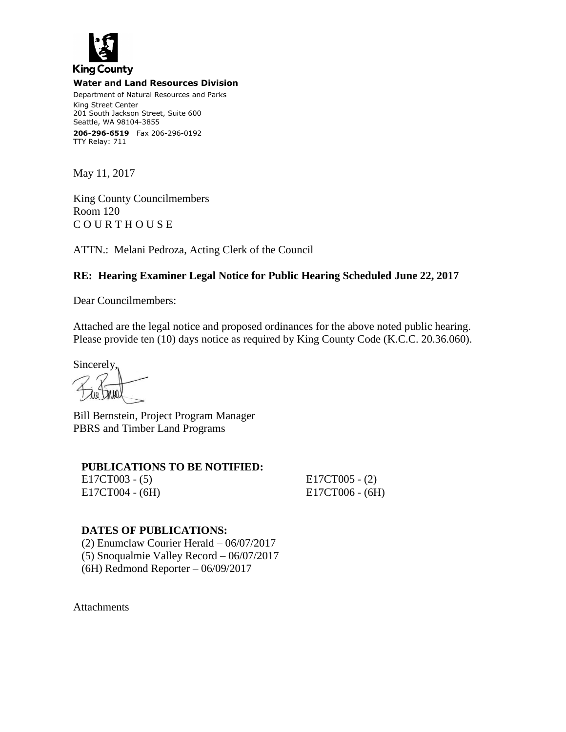

#### **Water and Land Resources Division**

Department of Natural Resources and Parks King Street Center 201 South Jackson Street, Suite 600 Seattle, WA 98104-3855 **206-296-6519** Fax 206-296-0192 TTY Relay: 711

May 11, 2017

King County Councilmembers Room 120 C O U R T H O U S E

ATTN.: Melani Pedroza, Acting Clerk of the Council

# **RE: Hearing Examiner Legal Notice for Public Hearing Scheduled June 22, 2017**

Dear Councilmembers:

Attached are the legal notice and proposed ordinances for the above noted public hearing. Please provide ten (10) days notice as required by King County Code (K.C.C. 20.36.060).

Sincerely,

Bill Bernstein, Project Program Manager PBRS and Timber Land Programs

### **PUBLICATIONS TO BE NOTIFIED:**

E17CT003 - (5) E17CT005 - (2) E17CT004 - (6H) E17CT006 - (6H)

# **DATES OF PUBLICATIONS:**

(2) Enumclaw Courier Herald – 06/07/2017 (5) Snoqualmie Valley Record – 06/07/2017 (6H) Redmond Reporter – 06/09/2017

Attachments